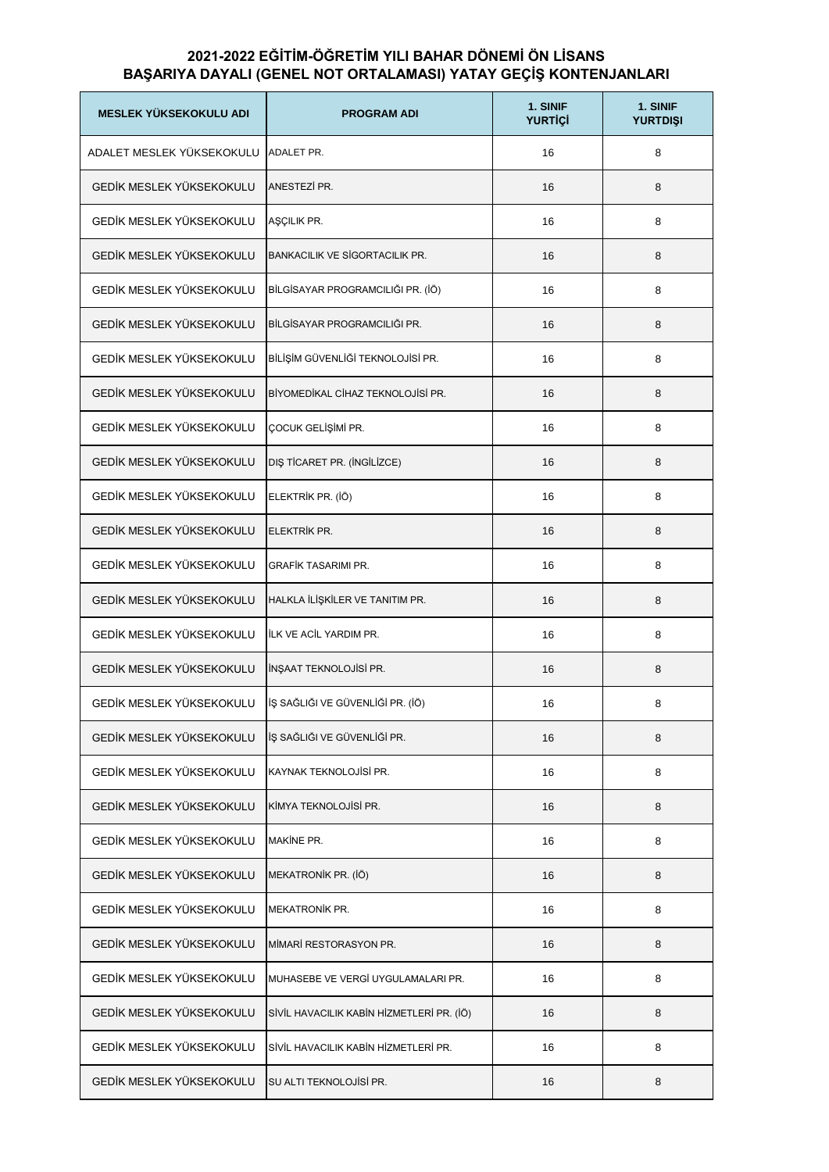## **2021-2022 EĞİTİM-ÖĞRETİM YILI BAHAR DÖNEMİ ÖN LİSANS BAŞARIYA DAYALI (GENEL NOT ORTALAMASI) YATAY GEÇİŞ KONTENJANLARI**

| <b>MESLEK YÜKSEKOKULU ADI</b> | <b>PROGRAM ADI</b>                        | 1. SINIF<br><b>YURTIÇİ</b> | 1. SINIF<br><b>YURTDIŞI</b> |
|-------------------------------|-------------------------------------------|----------------------------|-----------------------------|
| ADALET MESLEK YÜKSEKOKULU     | ADALET PR.                                | 16                         | 8                           |
| GEDİK MESLEK YÜKSEKOKULU      | ANESTEZİ PR.                              | 16                         | 8                           |
| GEDİK MESLEK YÜKSEKOKULU      | AŞÇILIK PR.                               | 16                         | 8                           |
| GEDİK MESLEK YÜKSEKOKULU      | BANKACILIK VE SİGORTACILIK PR.            | 16                         | 8                           |
| GEDİK MESLEK YÜKSEKOKULU      | BİLGİSAYAR PROGRAMCILIĞI PR. (İÖ)         | 16                         | 8                           |
| GEDİK MESLEK YÜKSEKOKULU      | BİLGİSAYAR PROGRAMCILIĞI PR.              | 16                         | 8                           |
| GEDİK MESLEK YÜKSEKOKULU      | BİLİŞİM GÜVENLİĞİ TEKNOLOJİSİ PR.         | 16                         | 8                           |
| GEDİK MESLEK YÜKSEKOKULU      | BİYOMEDİKAL CİHAZ TEKNOLOJİSİ PR.         | 16                         | 8                           |
| GEDİK MESLEK YÜKSEKOKULU      | ÇOCUK GELİŞİMİ PR.                        | 16                         | 8                           |
| GEDİK MESLEK YÜKSEKOKULU      | DIŞ TİCARET PR. (İNGİLİZCE)               | 16                         | 8                           |
| GEDİK MESLEK YÜKSEKOKULU      | ELEKTRİK PR. (İÖ)                         | 16                         | 8                           |
| GEDİK MESLEK YÜKSEKOKULU      | ELEKTRİK PR.                              | 16                         | 8                           |
| GEDİK MESLEK YÜKSEKOKULU      | <b>GRAFİK TASARIMI PR.</b>                | 16                         | 8                           |
| GEDİK MESLEK YÜKSEKOKULU      | HALKLA İLİŞKİLER VE TANITIM PR.           | 16                         | 8                           |
| GEDİK MESLEK YÜKSEKOKULU      | <b>ILK VE ACIL YARDIM PR.</b>             | 16                         | 8                           |
| GEDİK MESLEK YÜKSEKOKULU      | <b>INSAAT TEKNOLOJISI PR.</b>             | 16                         | 8                           |
| GEDİK MESLEK YÜKSEKOKULU      | İŞ SAĞLIĞI VE GÜVENLİĞİ PR. (İÖ)          | 16                         | 8                           |
| GEDİK MESLEK YÜKSEKOKULU      | İŞ SAĞLIĞI VE GÜVENLİĞİ PR.               | 16                         | 8                           |
| GEDİK MESLEK YÜKSEKOKULU      | KAYNAK TEKNOLOJİSİ PR.                    | 16                         | 8                           |
| GEDİK MESLEK YÜKSEKOKULU      | KİMYA TEKNOLOJİSİ PR.                     | 16                         | 8                           |
| GEDİK MESLEK YÜKSEKOKULU      | <b>MAKINE PR.</b>                         | 16                         | 8                           |
| GEDİK MESLEK YÜKSEKOKULU      | MEKATRONİK PR. (İÖ)                       | 16                         | 8                           |
| GEDİK MESLEK YÜKSEKOKULU      | <b>MEKATRONIK PR.</b>                     | 16                         | 8                           |
| GEDİK MESLEK YÜKSEKOKULU      | MIMARI RESTORASYON PR.                    | 16                         | 8                           |
| GEDİK MESLEK YÜKSEKOKULU      | MUHASEBE VE VERGİ UYGULAMALARI PR.        | 16                         | 8                           |
| GEDİK MESLEK YÜKSEKOKULU      | SİVİL HAVACILIK KABİN HİZMETLERİ PR. (İÖ) | 16                         | 8                           |
| GEDİK MESLEK YÜKSEKOKULU      | SİVİL HAVACILIK KABİN HİZMETLERİ PR.      | 16                         | 8                           |
| GEDİK MESLEK YÜKSEKOKULU      | SU ALTI TEKNOLOJISI PR.                   | 16                         | 8                           |